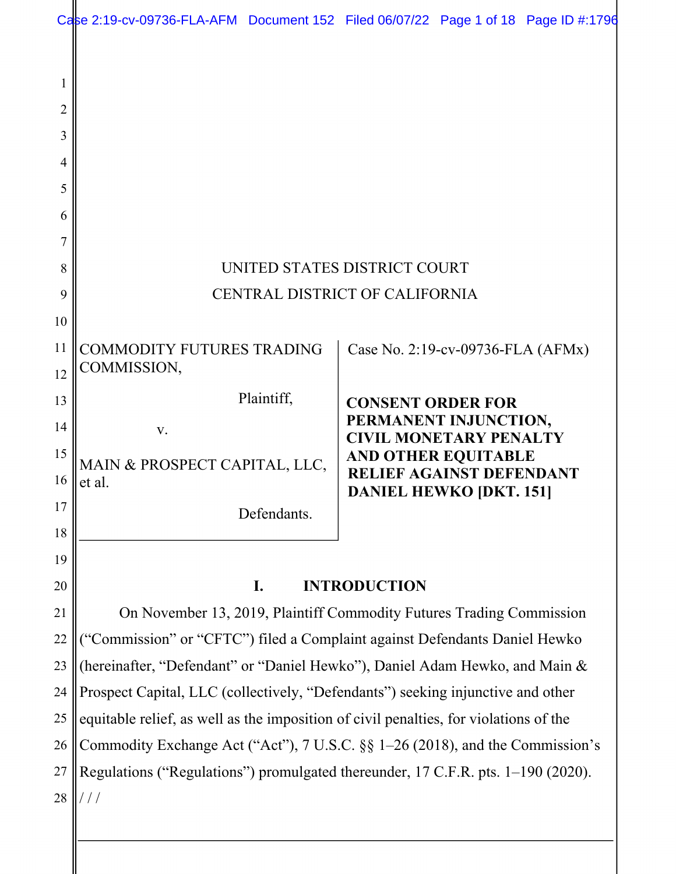|                                         |                                                                                                                                                                        | Case 2:19-cv-09736-FLA-AFM Document 152 Filed 06/07/22 Page 1 of 18 Page ID #:1796 |  |  |
|-----------------------------------------|------------------------------------------------------------------------------------------------------------------------------------------------------------------------|------------------------------------------------------------------------------------|--|--|
| 1<br>$\overline{2}$<br>3<br>4<br>5<br>6 |                                                                                                                                                                        |                                                                                    |  |  |
| 7                                       |                                                                                                                                                                        |                                                                                    |  |  |
| 8                                       |                                                                                                                                                                        | UNITED STATES DISTRICT COURT                                                       |  |  |
| 9                                       | CENTRAL DISTRICT OF CALIFORNIA                                                                                                                                         |                                                                                    |  |  |
| 10                                      |                                                                                                                                                                        |                                                                                    |  |  |
| 11                                      | <b>COMMODITY FUTURES TRADING</b>                                                                                                                                       | Case No. 2:19-cv-09736-FLA (AFMx)                                                  |  |  |
| 12                                      | COMMISSION,                                                                                                                                                            |                                                                                    |  |  |
| 13                                      | Plaintiff,                                                                                                                                                             | <b>CONSENT ORDER FOR</b>                                                           |  |  |
| 14                                      | V.                                                                                                                                                                     | PERMANENT INJUNCTION,<br><b>CIVIL MONETARY PENALTY</b>                             |  |  |
| 15                                      | MAIN & PROSPECT CAPITAL, LLC,                                                                                                                                          | <b>AND OTHER EQUITABLE</b>                                                         |  |  |
| 16                                      | et al.                                                                                                                                                                 | <b>RELIEF AGAINST DEFENDANT</b><br><b>DANIEL HEWKO [DKT. 151]</b>                  |  |  |
| 17                                      | Defendants.                                                                                                                                                            |                                                                                    |  |  |
| 18                                      |                                                                                                                                                                        |                                                                                    |  |  |
| 19                                      |                                                                                                                                                                        |                                                                                    |  |  |
| 20                                      | <b>INTRODUCTION</b><br>I.                                                                                                                                              |                                                                                    |  |  |
| 21                                      | On November 13, 2019, Plaintiff Commodity Futures Trading Commission                                                                                                   |                                                                                    |  |  |
| 22                                      | "Commission" or "CFTC") filed a Complaint against Defendants Daniel Hewko                                                                                              |                                                                                    |  |  |
| 23                                      | (hereinafter, "Defendant" or "Daniel Hewko"), Daniel Adam Hewko, and Main &                                                                                            |                                                                                    |  |  |
| 24<br>25                                | Prospect Capital, LLC (collectively, "Defendants") seeking injunctive and other                                                                                        |                                                                                    |  |  |
| 26                                      | equitable relief, as well as the imposition of civil penalties, for violations of the<br>Commodity Exchange Act ("Act"), 7 U.S.C. §§ 1–26 (2018), and the Commission's |                                                                                    |  |  |
| 27                                      | Regulations ("Regulations") promulgated thereunder, 17 C.F.R. pts. 1-190 (2020).                                                                                       |                                                                                    |  |  |
| 28                                      |                                                                                                                                                                        |                                                                                    |  |  |
|                                         |                                                                                                                                                                        |                                                                                    |  |  |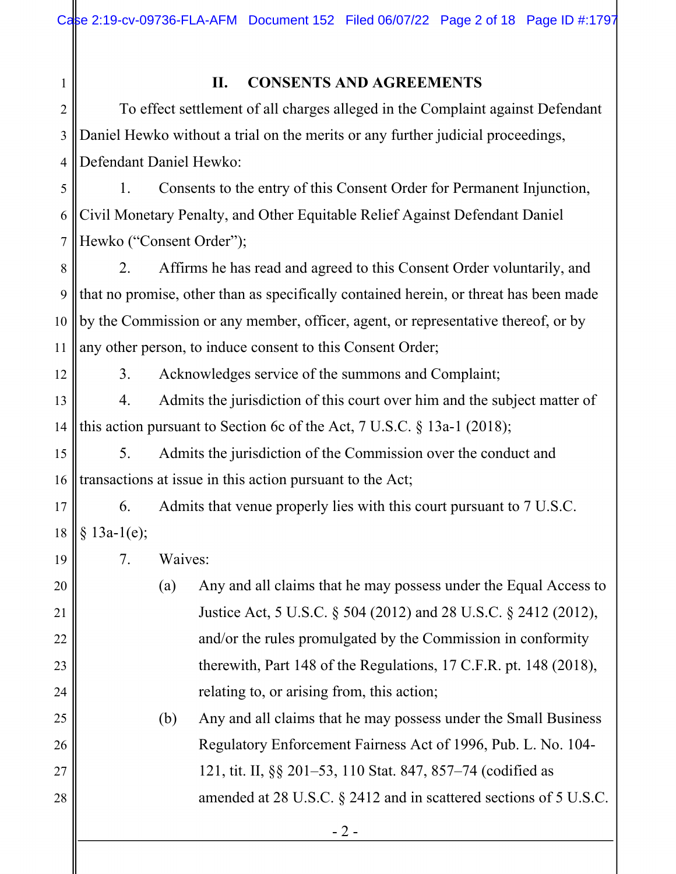## **II. CONSENTS AND AGREEMENTS**

2 3 4 To effect settlement of all charges alleged in the Complaint against Defendant Daniel Hewko without a trial on the merits or any further judicial proceedings, Defendant Daniel Hewko:

5 6 7 1. Consents to the entry of this Consent Order for Permanent Injunction, Civil Monetary Penalty, and Other Equitable Relief Against Defendant Daniel Hewko ("Consent Order");

8 9 10 11 2. Affirms he has read and agreed to this Consent Order voluntarily, and that no promise, other than as specifically contained herein, or threat has been made by the Commission or any member, officer, agent, or representative thereof, or by any other person, to induce consent to this Consent Order;

12

19

20

21

22

23

24

25

26

27

28

1

3. Acknowledges service of the summons and Complaint;

13 14 4. Admits the jurisdiction of this court over him and the subject matter of this action pursuant to Section 6c of the Act, 7 U.S.C. § 13a-1 (2018);

15 16 5. Admits the jurisdiction of the Commission over the conduct and transactions at issue in this action pursuant to the Act;

17 18 6. Admits that venue properly lies with this court pursuant to 7 U.S.C.  $§ 13a-1(e);$ 

7. Waives:

(a) Any and all claims that he may possess under the Equal Access to Justice Act, 5 U.S.C. § 504 (2012) and 28 U.S.C. § 2412 (2012), and/or the rules promulgated by the Commission in conformity therewith, Part 148 of the Regulations, 17 C.F.R. pt. 148 (2018), relating to, or arising from, this action;

(b) Any and all claims that he may possess under the Small Business Regulatory Enforcement Fairness Act of 1996, Pub. L. No. 104- 121, tit. II, §§ 201–53, 110 Stat. 847, 857–74 (codified as amended at 28 U.S.C. § 2412 and in scattered sections of 5 U.S.C.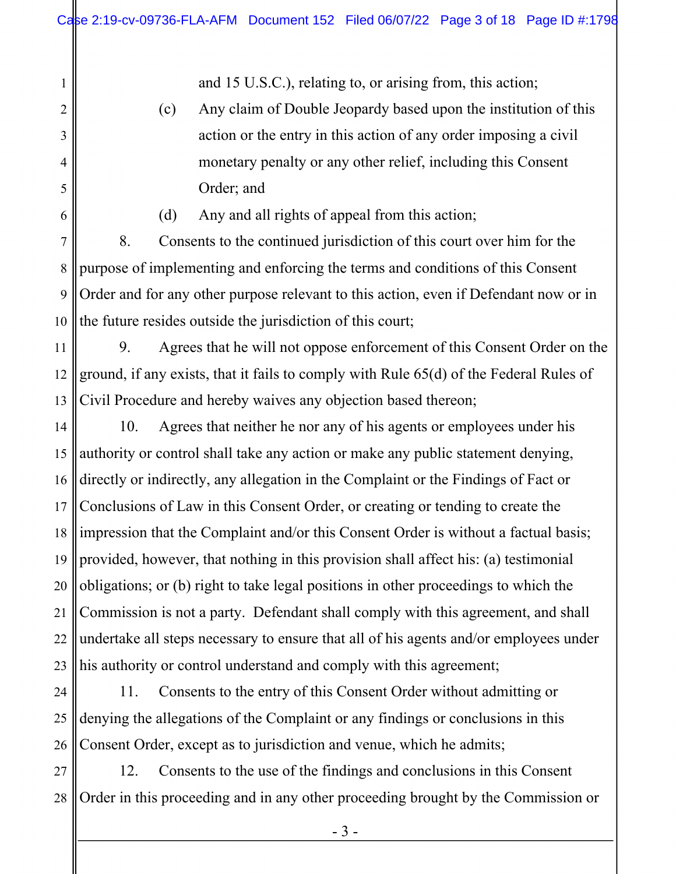and 15 U.S.C.), relating to, or arising from, this action;

(c) Any claim of Double Jeopardy based upon the institution of this action or the entry in this action of any order imposing a civil monetary penalty or any other relief, including this Consent Order; and

(d) Any and all rights of appeal from this action;

1

2

3

4

5

6

7 8 9 10 8. Consents to the continued jurisdiction of this court over him for the purpose of implementing and enforcing the terms and conditions of this Consent Order and for any other purpose relevant to this action, even if Defendant now or in the future resides outside the jurisdiction of this court;

11 12 13 9. Agrees that he will not oppose enforcement of this Consent Order on the ground, if any exists, that it fails to comply with Rule 65(d) of the Federal Rules of Civil Procedure and hereby waives any objection based thereon;

14 15 16 17 18 19 20 21 22 23 10. Agrees that neither he nor any of his agents or employees under his authority or control shall take any action or make any public statement denying, directly or indirectly, any allegation in the Complaint or the Findings of Fact or Conclusions of Law in this Consent Order, or creating or tending to create the impression that the Complaint and/or this Consent Order is without a factual basis; provided, however, that nothing in this provision shall affect his: (a) testimonial obligations; or (b) right to take legal positions in other proceedings to which the Commission is not a party. Defendant shall comply with this agreement, and shall undertake all steps necessary to ensure that all of his agents and/or employees under his authority or control understand and comply with this agreement;

24 25 26 11. Consents to the entry of this Consent Order without admitting or denying the allegations of the Complaint or any findings or conclusions in this Consent Order, except as to jurisdiction and venue, which he admits;

27 28 12. Consents to the use of the findings and conclusions in this Consent Order in this proceeding and in any other proceeding brought by the Commission or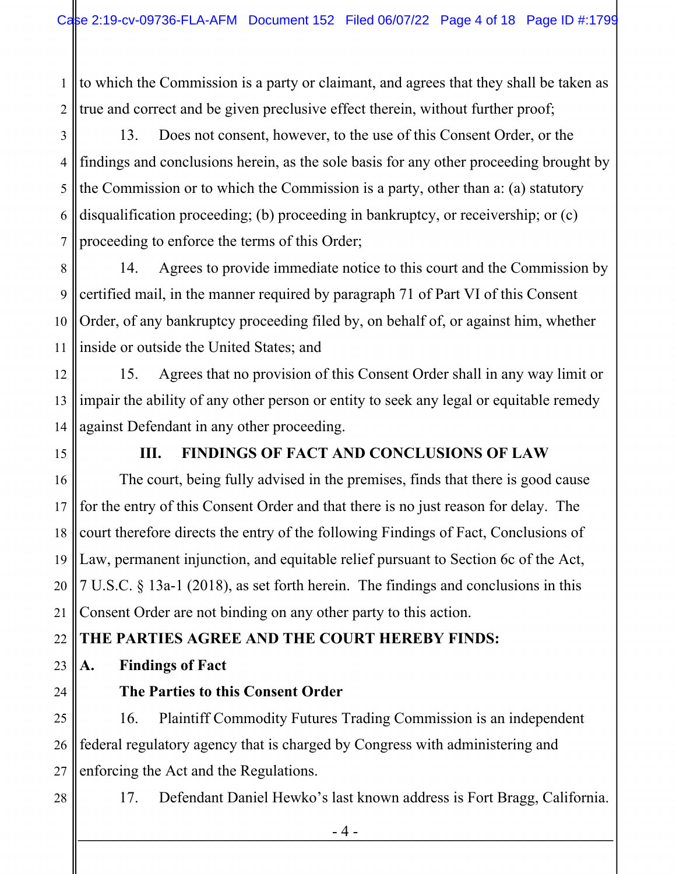1 2 to which the Commission is a party or claimant, and agrees that they shall be taken as true and correct and be given preclusive effect therein, without further proof;

3 4 5 6 7 13. Does not consent, however, to the use of this Consent Order, or the findings and conclusions herein, as the sole basis for any other proceeding brought by the Commission or to which the Commission is a party, other than a: (a) statutory disqualification proceeding; (b) proceeding in bankruptcy, or receivership; or (c) proceeding to enforce the terms of this Order;

8 9 10 11 14. Agrees to provide immediate notice to this court and the Commission by certified mail, in the manner required by paragraph 71 of Part VI of this Consent Order, of any bankruptcy proceeding filed by, on behalf of, or against him, whether inside or outside the United States; and

12 13 14 15. Agrees that no provision of this Consent Order shall in any way limit or impair the ability of any other person or entity to seek any legal or equitable remedy against Defendant in any other proceeding.

15

## **III. FINDINGS OF FACT AND CONCLUSIONS OF LAW**

16 17 18 19 20 The court, being fully advised in the premises, finds that there is good cause for the entry of this Consent Order and that there is no just reason for delay. The court therefore directs the entry of the following Findings of Fact, Conclusions of Law, permanent injunction, and equitable relief pursuant to Section 6c of the Act, 7 U.S.C. § 13a-1 (2018), as set forth herein. The findings and conclusions in this Consent Order are not binding on any other party to this action.

#### 22 **THE PARTIES AGREE AND THE COURT HEREBY FINDS:**

23 **A. Findings of Fact** 

24

21

## **The Parties to this Consent Order**

25 26 27 16. Plaintiff Commodity Futures Trading Commission is an independent federal regulatory agency that is charged by Congress with administering and enforcing the Act and the Regulations.

28

17. Defendant Daniel Hewko's last known address is Fort Bragg, California.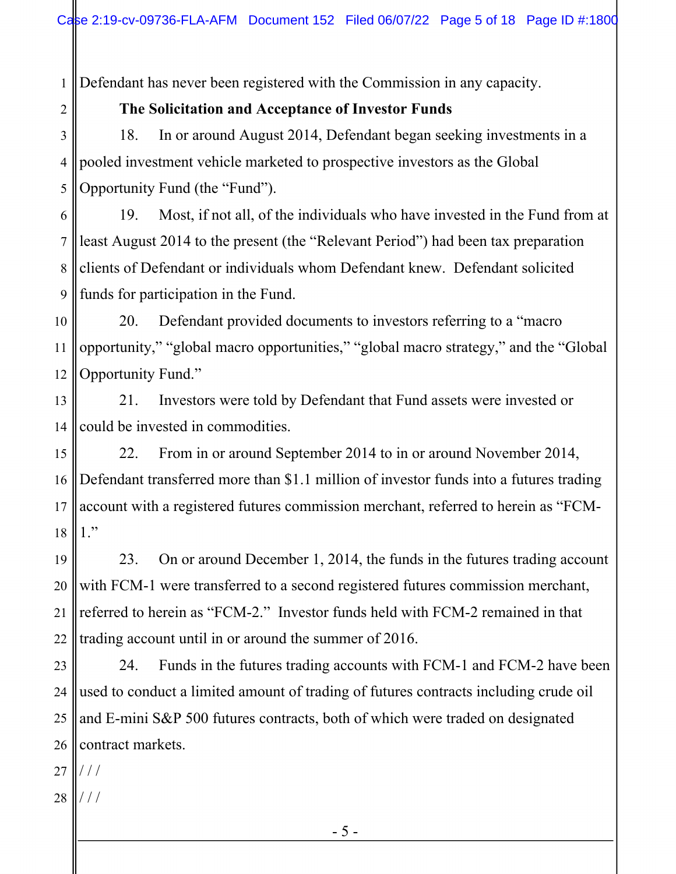1 Defendant has never been registered with the Commission in any capacity.

## **The Solicitation and Acceptance of Investor Funds**

3 4 5 18. In or around August 2014, Defendant began seeking investments in a pooled investment vehicle marketed to prospective investors as the Global Opportunity Fund (the "Fund").

6 7 8 9 19. Most, if not all, of the individuals who have invested in the Fund from at least August 2014 to the present (the "Relevant Period") had been tax preparation clients of Defendant or individuals whom Defendant knew. Defendant solicited funds for participation in the Fund.

10 11 12 20. Defendant provided documents to investors referring to a "macro opportunity," "global macro opportunities," "global macro strategy," and the "Global Opportunity Fund."

13 14 21. Investors were told by Defendant that Fund assets were invested or could be invested in commodities.

15 16 17 18 22. From in or around September 2014 to in or around November 2014, Defendant transferred more than \$1.1 million of investor funds into a futures trading account with a registered futures commission merchant, referred to herein as "FCM-1."

19 20 21 22 23. On or around December 1, 2014, the funds in the futures trading account with FCM-1 were transferred to a second registered futures commission merchant, referred to herein as "FCM-2." Investor funds held with FCM-2 remained in that trading account until in or around the summer of 2016.

23 24 25 26 | contract markets. 24. Funds in the futures trading accounts with FCM-1 and FCM-2 have been used to conduct a limited amount of trading of futures contracts including crude oil and E-mini S&P 500 futures contracts, both of which were traded on designated

27 / / /

2

28  $\|$ ///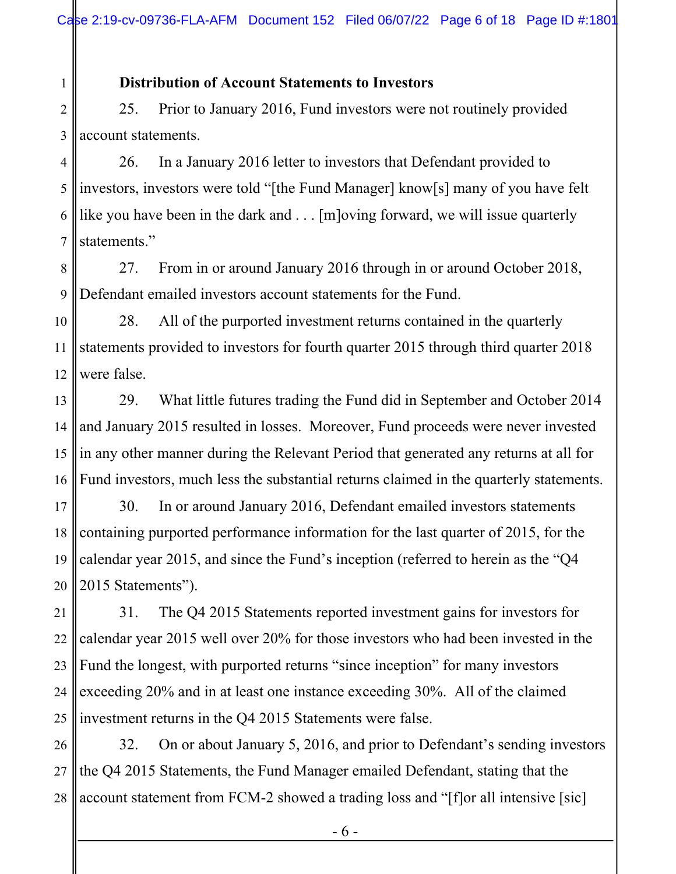## **Distribution of Account Statements to Investors**

1

2 3 25. Prior to January 2016, Fund investors were not routinely provided account statements.

4 5 6 7 26. In a January 2016 letter to investors that Defendant provided to investors, investors were told "[the Fund Manager] know[s] many of you have felt like you have been in the dark and . . . [m]oving forward, we will issue quarterly statements."

8 9 27. From in or around January 2016 through in or around October 2018, Defendant emailed investors account statements for the Fund.

10 11 12 28. All of the purported investment returns contained in the quarterly statements provided to investors for fourth quarter 2015 through third quarter 2018 were false.

13 14 15 16 29. What little futures trading the Fund did in September and October 2014 and January 2015 resulted in losses. Moreover, Fund proceeds were never invested in any other manner during the Relevant Period that generated any returns at all for Fund investors, much less the substantial returns claimed in the quarterly statements.

17 18 19 20 30. In or around January 2016, Defendant emailed investors statements containing purported performance information for the last quarter of 2015, for the calendar year 2015, and since the Fund's inception (referred to herein as the "Q4 2015 Statements").

21 22 23 24 25 31. The Q4 2015 Statements reported investment gains for investors for calendar year 2015 well over 20% for those investors who had been invested in the Fund the longest, with purported returns "since inception" for many investors exceeding 20% and in at least one instance exceeding 30%. All of the claimed investment returns in the Q4 2015 Statements were false.

26 27 28 32. On or about January 5, 2016, and prior to Defendant's sending investors the Q4 2015 Statements, the Fund Manager emailed Defendant, stating that the account statement from FCM-2 showed a trading loss and "[f]or all intensive [sic]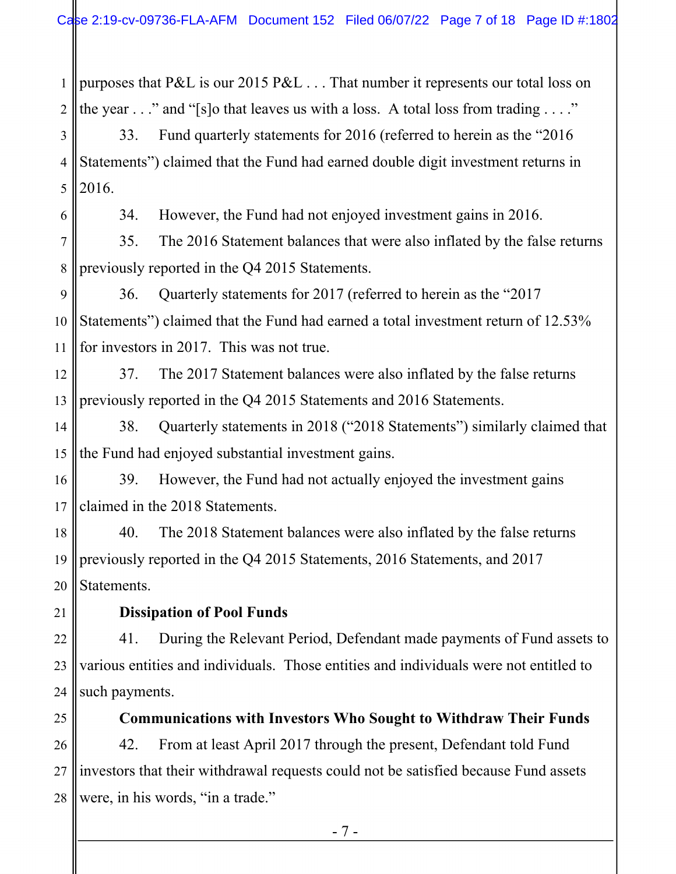1 2 purposes that P&L is our 2015 P&L . . . That number it represents our total loss on the year  $\dots$ " and "[s]o that leaves us with a loss. A total loss from trading  $\dots$ ."

3 4 5 33. Fund quarterly statements for 2016 (referred to herein as the "2016 Statements") claimed that the Fund had earned double digit investment returns in 2016.

34. However, the Fund had not enjoyed investment gains in 2016.

7 8 35. The 2016 Statement balances that were also inflated by the false returns previously reported in the Q4 2015 Statements.

9 10 11 36. Quarterly statements for 2017 (referred to herein as the "2017 Statements") claimed that the Fund had earned a total investment return of 12.53% for investors in 2017. This was not true.

12 13 37. The 2017 Statement balances were also inflated by the false returns previously reported in the Q4 2015 Statements and 2016 Statements.

14 15 38. Quarterly statements in 2018 ("2018 Statements") similarly claimed that the Fund had enjoyed substantial investment gains.

16 17 39. However, the Fund had not actually enjoyed the investment gains claimed in the 2018 Statements.

18 19 20 40. The 2018 Statement balances were also inflated by the false returns previously reported in the Q4 2015 Statements, 2016 Statements, and 2017 Statements.

21

6

# **Dissipation of Pool Funds**

22 23 24 41. During the Relevant Period, Defendant made payments of Fund assets to various entities and individuals. Those entities and individuals were not entitled to such payments.

25

**Communications with Investors Who Sought to Withdraw Their Funds**

26 27 28 42. From at least April 2017 through the present, Defendant told Fund investors that their withdrawal requests could not be satisfied because Fund assets were, in his words, "in a trade."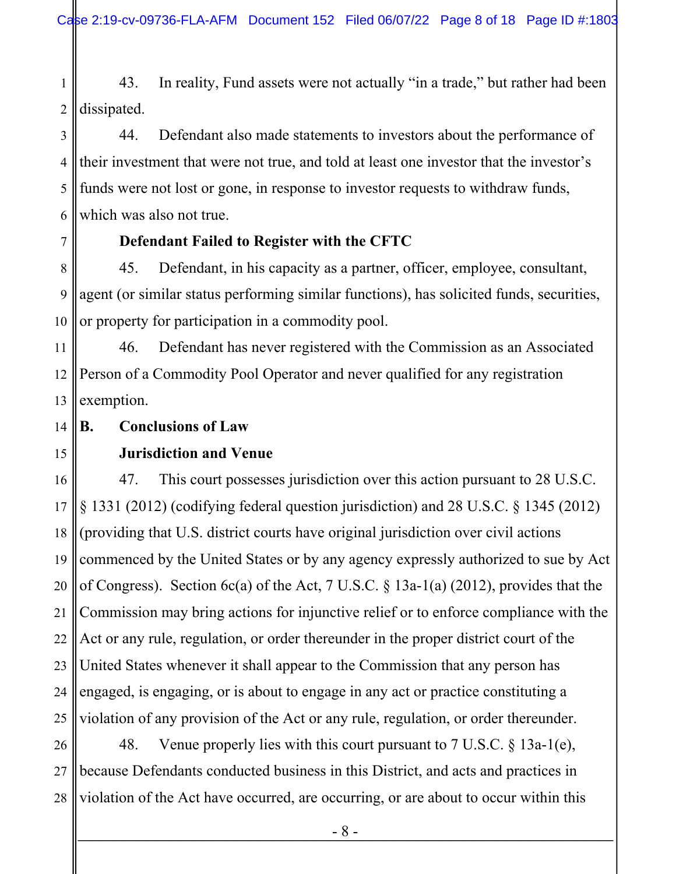1 2 43. In reality, Fund assets were not actually "in a trade," but rather had been dissipated.

3 4 5 6 44. Defendant also made statements to investors about the performance of their investment that were not true, and told at least one investor that the investor's funds were not lost or gone, in response to investor requests to withdraw funds, which was also not true.

## **Defendant Failed to Register with the CFTC**

8 9 10 45. Defendant, in his capacity as a partner, officer, employee, consultant, agent (or similar status performing similar functions), has solicited funds, securities, or property for participation in a commodity pool.

11 12 13 46. Defendant has never registered with the Commission as an Associated Person of a Commodity Pool Operator and never qualified for any registration exemption.

- 14 **B. Conclusions of Law**
- 15

7

## **Jurisdiction and Venue**

16 17 18 19 20 21 22 23 24 25 47. This court possesses jurisdiction over this action pursuant to 28 U.S.C. § 1331 (2012) (codifying federal question jurisdiction) and 28 U.S.C. § 1345 (2012) (providing that U.S. district courts have original jurisdiction over civil actions commenced by the United States or by any agency expressly authorized to sue by Act of Congress). Section 6c(a) of the Act, 7 U.S.C. § 13a-1(a) (2012), provides that the Commission may bring actions for injunctive relief or to enforce compliance with the Act or any rule, regulation, or order thereunder in the proper district court of the United States whenever it shall appear to the Commission that any person has engaged, is engaging, or is about to engage in any act or practice constituting a violation of any provision of the Act or any rule, regulation, or order thereunder.

26 27 28 48. Venue properly lies with this court pursuant to 7 U.S.C. § 13a-1(e), because Defendants conducted business in this District, and acts and practices in violation of the Act have occurred, are occurring, or are about to occur within this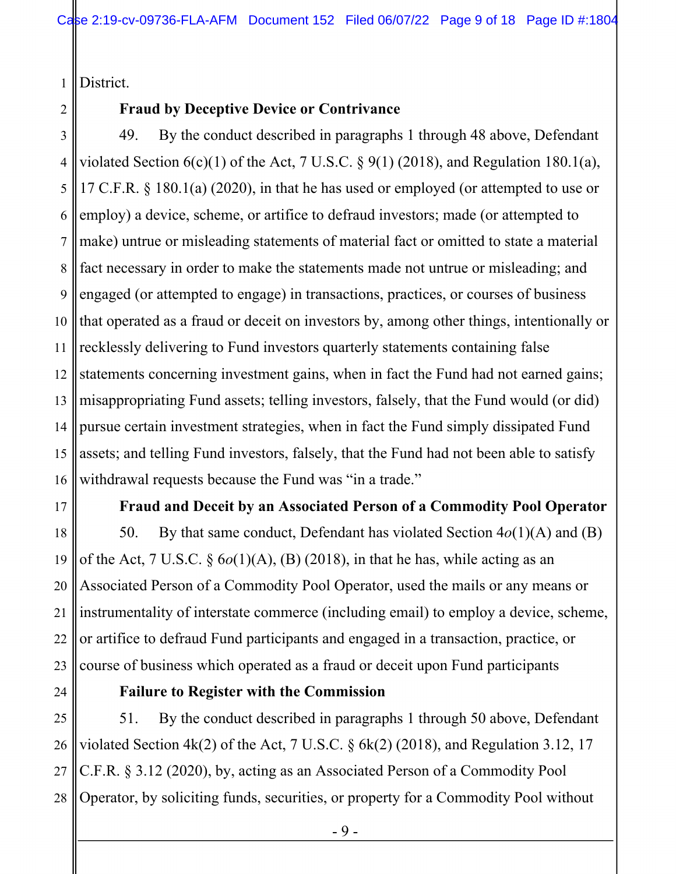1 District.

2

## **Fraud by Deceptive Device or Contrivance**

3 4 5 6 7 8 9 10 11 12 13 14 15 16 49. By the conduct described in paragraphs 1 through 48 above, Defendant violated Section  $6(c)(1)$  of the Act, 7 U.S.C. § 9(1) (2018), and Regulation 180.1(a), 17 C.F.R. § 180.1(a) (2020), in that he has used or employed (or attempted to use or employ) a device, scheme, or artifice to defraud investors; made (or attempted to make) untrue or misleading statements of material fact or omitted to state a material fact necessary in order to make the statements made not untrue or misleading; and engaged (or attempted to engage) in transactions, practices, or courses of business that operated as a fraud or deceit on investors by, among other things, intentionally or recklessly delivering to Fund investors quarterly statements containing false statements concerning investment gains, when in fact the Fund had not earned gains; misappropriating Fund assets; telling investors, falsely, that the Fund would (or did) pursue certain investment strategies, when in fact the Fund simply dissipated Fund assets; and telling Fund investors, falsely, that the Fund had not been able to satisfy withdrawal requests because the Fund was "in a trade."

17

## **Fraud and Deceit by an Associated Person of a Commodity Pool Operator**

18 19 20 21 22 23 50. By that same conduct, Defendant has violated Section 4*o*(1)(A) and (B) of the Act, 7 U.S.C. § 6*o*(1)(A), (B) (2018), in that he has, while acting as an Associated Person of a Commodity Pool Operator, used the mails or any means or instrumentality of interstate commerce (including email) to employ a device, scheme, or artifice to defraud Fund participants and engaged in a transaction, practice, or course of business which operated as a fraud or deceit upon Fund participants

24

## **Failure to Register with the Commission**

25 26 27 28 51. By the conduct described in paragraphs 1 through 50 above, Defendant violated Section 4k(2) of the Act, 7 U.S.C. § 6k(2) (2018), and Regulation 3.12, 17 C.F.R. § 3.12 (2020), by, acting as an Associated Person of a Commodity Pool Operator, by soliciting funds, securities, or property for a Commodity Pool without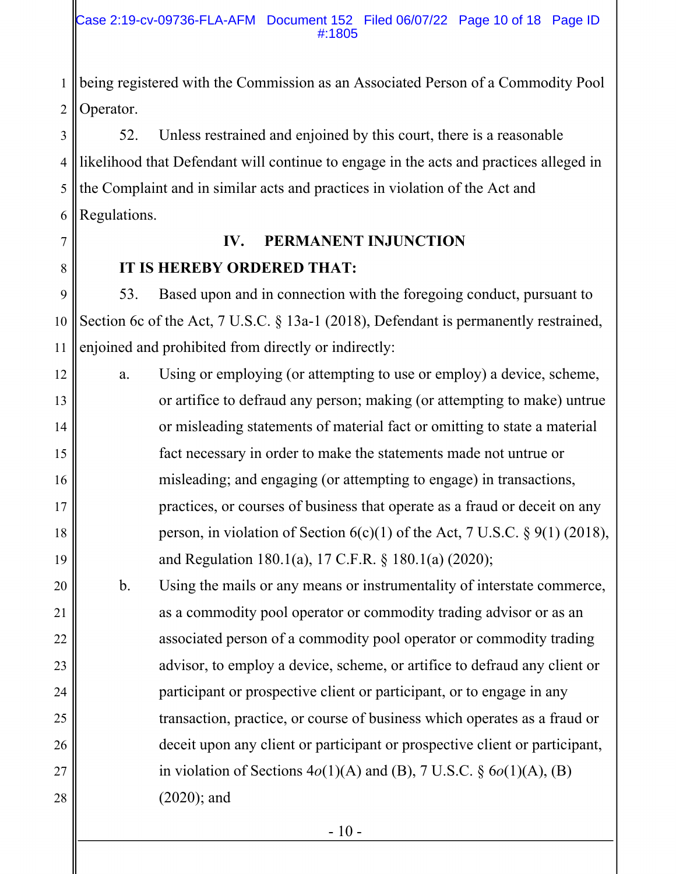1 2 being registered with the Commission as an Associated Person of a Commodity Pool Operator.

3 4 5 6 52. Unless restrained and enjoined by this court, there is a reasonable likelihood that Defendant will continue to engage in the acts and practices alleged in the Complaint and in similar acts and practices in violation of the Act and Regulations.

# **IV. PERMANENT INJUNCTION IT IS HEREBY ORDERED THAT:**

7

8

9

10

11

53. Based upon and in connection with the foregoing conduct, pursuant to Section 6c of the Act, 7 U.S.C. § 13a-1 (2018), Defendant is permanently restrained, enjoined and prohibited from directly or indirectly:

12 13 14 15 16 17 18 19 a. Using or employing (or attempting to use or employ) a device, scheme, or artifice to defraud any person; making (or attempting to make) untrue or misleading statements of material fact or omitting to state a material fact necessary in order to make the statements made not untrue or misleading; and engaging (or attempting to engage) in transactions, practices, or courses of business that operate as a fraud or deceit on any person, in violation of Section  $6(c)(1)$  of the Act, 7 U.S.C. § 9(1) (2018), and Regulation 180.1(a), 17 C.F.R. § 180.1(a) (2020);

20 21 22 23 24 25 26 27 28 b. Using the mails or any means or instrumentality of interstate commerce, as a commodity pool operator or commodity trading advisor or as an associated person of a commodity pool operator or commodity trading advisor, to employ a device, scheme, or artifice to defraud any client or participant or prospective client or participant, or to engage in any transaction, practice, or course of business which operates as a fraud or deceit upon any client or participant or prospective client or participant, in violation of Sections 4*o*(1)(A) and (B), 7 U.S.C. § 6*o*(1)(A), (B) (2020); and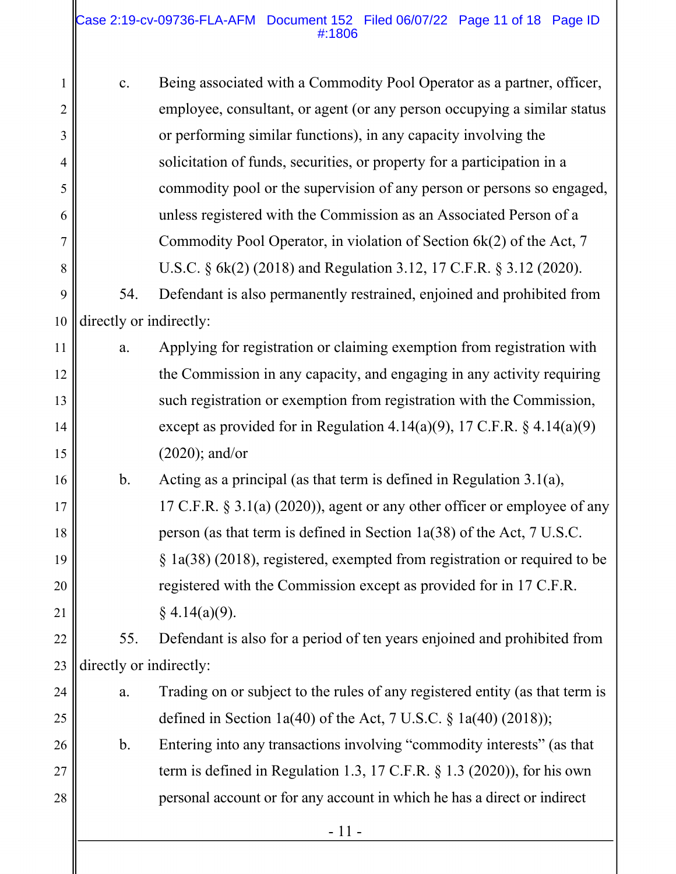### Case 2:19-cv-09736-FLA-AFM Document 152 Filed 06/07/22 Page 11 of 18 Page ID #:1806

| 1              | c.                      | Being associated with a Commodity Pool Operator as a partner, officer,       |  |
|----------------|-------------------------|------------------------------------------------------------------------------|--|
| $\overline{2}$ |                         | employee, consultant, or agent (or any person occupying a similar status     |  |
| 3              |                         | or performing similar functions), in any capacity involving the              |  |
| $\overline{4}$ |                         | solicitation of funds, securities, or property for a participation in a      |  |
| 5              |                         | commodity pool or the supervision of any person or persons so engaged,       |  |
| 6              |                         | unless registered with the Commission as an Associated Person of a           |  |
| 7              |                         | Commodity Pool Operator, in violation of Section 6k(2) of the Act, 7         |  |
| 8              |                         | U.S.C. § 6k(2) (2018) and Regulation 3.12, 17 C.F.R. § 3.12 (2020).          |  |
| 9              | 54.                     | Defendant is also permanently restrained, enjoined and prohibited from       |  |
| 10             | directly or indirectly: |                                                                              |  |
| 11             | a.                      | Applying for registration or claiming exemption from registration with       |  |
| 12             |                         | the Commission in any capacity, and engaging in any activity requiring       |  |
| 13             |                         | such registration or exemption from registration with the Commission,        |  |
| 14             |                         | except as provided for in Regulation 4.14(a)(9), 17 C.F.R. $\S$ 4.14(a)(9)   |  |
| 15             |                         | $(2020)$ ; and/or                                                            |  |
| 16             | $\mathbf b$ .           | Acting as a principal (as that term is defined in Regulation $3.1(a)$ ,      |  |
| 17             |                         | 17 C.F.R. $\S$ 3.1(a) (2020)), agent or any other officer or employee of any |  |
| 18             |                         | person (as that term is defined in Section 1a(38) of the Act, 7 U.S.C.       |  |
| 19             |                         | $\S$ 1a(38) (2018), registered, exempted from registration or required to be |  |
| 20             |                         | registered with the Commission except as provided for in 17 C.F.R.           |  |
| 21             |                         | $§$ 4.14(a)(9).                                                              |  |
| 22             | 55.                     | Defendant is also for a period of ten years enjoined and prohibited from     |  |
| 23             | directly or indirectly: |                                                                              |  |
| 24             | a.                      | Trading on or subject to the rules of any registered entity (as that term is |  |
| 25             |                         | defined in Section 1a(40) of the Act, 7 U.S.C. $\S$ 1a(40) (2018));          |  |
| 26             | $\mathbf{b}$ .          | Entering into any transactions involving "commodity interests" (as that      |  |
| 27             |                         | term is defined in Regulation 1.3, 17 C.F.R. $\S$ 1.3 (2020)), for his own   |  |
| 28             |                         | personal account or for any account in which he has a direct or indirect     |  |
|                | $-11-$                  |                                                                              |  |
|                |                         |                                                                              |  |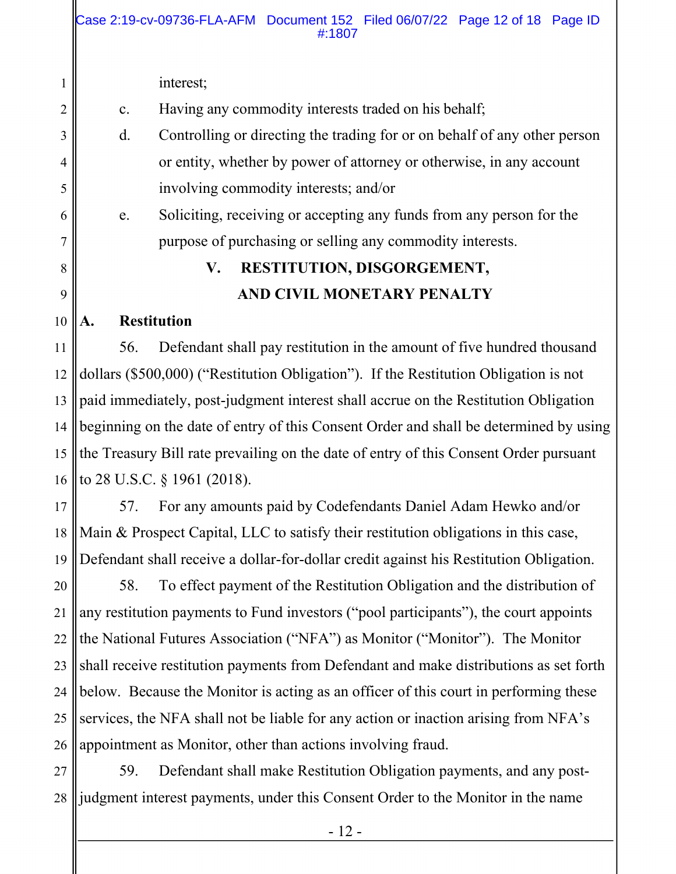c. Having any commodity interests traded on his behalf;

d. Controlling or directing the trading for or on behalf of any other person or entity, whether by power of attorney or otherwise, in any account involving commodity interests; and/or

e. Soliciting, receiving or accepting any funds from any person for the purpose of purchasing or selling any commodity interests.

# **V. RESTITUTION, DISGORGEMENT, AND CIVIL MONETARY PENALTY**

#### 10 **A. Restitution**

1

2

3

4

5

6

7

8

9

11 12 13 14 15 16 56. Defendant shall pay restitution in the amount of five hundred thousand dollars (\$500,000) ("Restitution Obligation"). If the Restitution Obligation is not paid immediately, post-judgment interest shall accrue on the Restitution Obligation beginning on the date of entry of this Consent Order and shall be determined by using the Treasury Bill rate prevailing on the date of entry of this Consent Order pursuant to 28 U.S.C. § 1961 (2018).

17 18 19 57. For any amounts paid by Codefendants Daniel Adam Hewko and/or Main & Prospect Capital, LLC to satisfy their restitution obligations in this case, Defendant shall receive a dollar-for-dollar credit against his Restitution Obligation.

20 21 22 23 24 25 26 58. To effect payment of the Restitution Obligation and the distribution of any restitution payments to Fund investors ("pool participants"), the court appoints the National Futures Association ("NFA") as Monitor ("Monitor"). The Monitor shall receive restitution payments from Defendant and make distributions as set forth below. Because the Monitor is acting as an officer of this court in performing these services, the NFA shall not be liable for any action or inaction arising from NFA's appointment as Monitor, other than actions involving fraud.

27 28 59. Defendant shall make Restitution Obligation payments, and any postjudgment interest payments, under this Consent Order to the Monitor in the name

interest;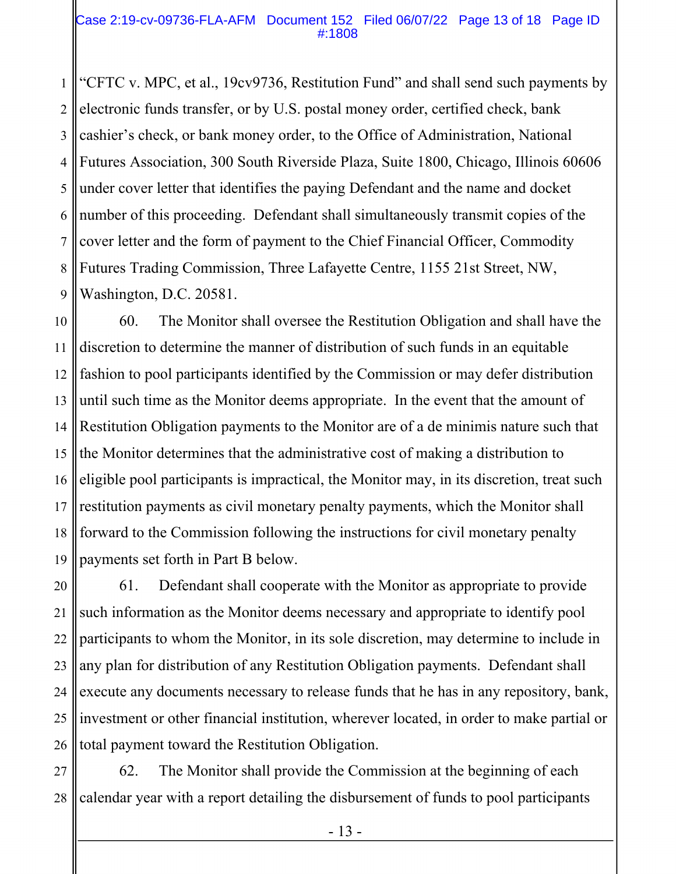#### Case 2:19-cv-09736-FLA-AFM Document 152 Filed 06/07/22 Page 13 of 18 Page ID #:1808

1 2 3 4 5 6 7 8 9 "CFTC v. MPC, et al., 19cv9736, Restitution Fund" and shall send such payments by electronic funds transfer, or by U.S. postal money order, certified check, bank cashier's check, or bank money order, to the Office of Administration, National Futures Association, 300 South Riverside Plaza, Suite 1800, Chicago, Illinois 60606 under cover letter that identifies the paying Defendant and the name and docket number of this proceeding. Defendant shall simultaneously transmit copies of the cover letter and the form of payment to the Chief Financial Officer, Commodity Futures Trading Commission, Three Lafayette Centre, 1155 21st Street, NW, Washington, D.C. 20581.

10 11 12 13 14 15 16 17 18 19 60. The Monitor shall oversee the Restitution Obligation and shall have the discretion to determine the manner of distribution of such funds in an equitable fashion to pool participants identified by the Commission or may defer distribution until such time as the Monitor deems appropriate. In the event that the amount of Restitution Obligation payments to the Monitor are of a de minimis nature such that the Monitor determines that the administrative cost of making a distribution to eligible pool participants is impractical, the Monitor may, in its discretion, treat such restitution payments as civil monetary penalty payments, which the Monitor shall forward to the Commission following the instructions for civil monetary penalty payments set forth in Part B below.

20 21 22 23 24 25 26 61. Defendant shall cooperate with the Monitor as appropriate to provide such information as the Monitor deems necessary and appropriate to identify pool participants to whom the Monitor, in its sole discretion, may determine to include in any plan for distribution of any Restitution Obligation payments. Defendant shall execute any documents necessary to release funds that he has in any repository, bank, investment or other financial institution, wherever located, in order to make partial or total payment toward the Restitution Obligation.

27 28 62. The Monitor shall provide the Commission at the beginning of each calendar year with a report detailing the disbursement of funds to pool participants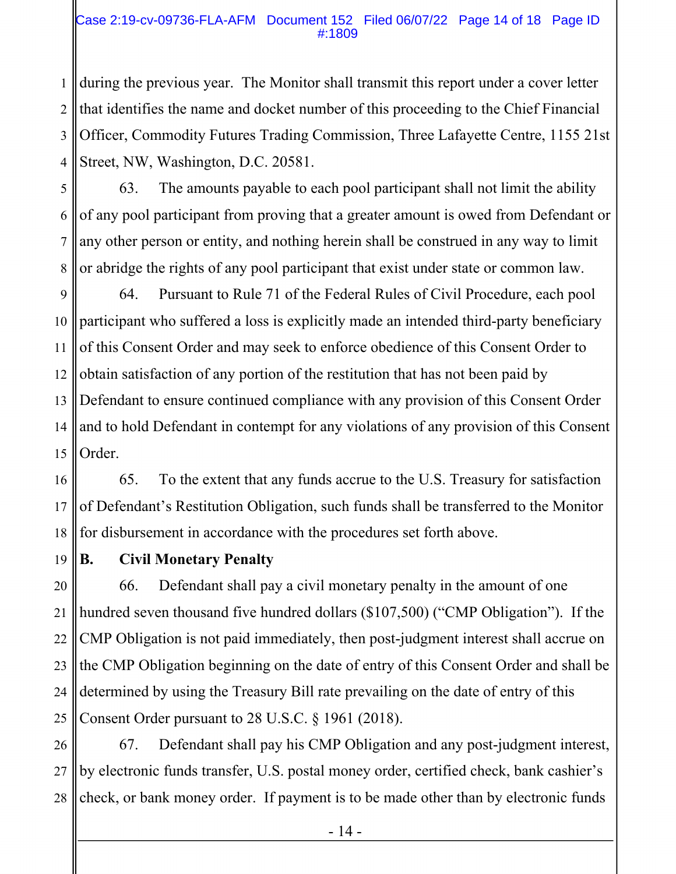## Case 2:19-cv-09736-FLA-AFM Document 152 Filed 06/07/22 Page 14 of 18 Page ID #:1809

1 2 3 4 during the previous year. The Monitor shall transmit this report under a cover letter that identifies the name and docket number of this proceeding to the Chief Financial Officer, Commodity Futures Trading Commission, Three Lafayette Centre, 1155 21st Street, NW, Washington, D.C. 20581.

5 6 7 8 63. The amounts payable to each pool participant shall not limit the ability of any pool participant from proving that a greater amount is owed from Defendant or any other person or entity, and nothing herein shall be construed in any way to limit or abridge the rights of any pool participant that exist under state or common law.

9 10 11 12 13 14 15 64. Pursuant to Rule 71 of the Federal Rules of Civil Procedure, each pool participant who suffered a loss is explicitly made an intended third-party beneficiary of this Consent Order and may seek to enforce obedience of this Consent Order to obtain satisfaction of any portion of the restitution that has not been paid by Defendant to ensure continued compliance with any provision of this Consent Order and to hold Defendant in contempt for any violations of any provision of this Consent Order.

16 17 18 65. To the extent that any funds accrue to the U.S. Treasury for satisfaction of Defendant's Restitution Obligation, such funds shall be transferred to the Monitor for disbursement in accordance with the procedures set forth above.

19

## **B. Civil Monetary Penalty**

20 21 22 23 24 25 66. Defendant shall pay a civil monetary penalty in the amount of one hundred seven thousand five hundred dollars (\$107,500) ("CMP Obligation"). If the CMP Obligation is not paid immediately, then post-judgment interest shall accrue on the CMP Obligation beginning on the date of entry of this Consent Order and shall be determined by using the Treasury Bill rate prevailing on the date of entry of this Consent Order pursuant to 28 U.S.C. § 1961 (2018).

26 27 28 67. Defendant shall pay his CMP Obligation and any post-judgment interest, by electronic funds transfer, U.S. postal money order, certified check, bank cashier's check, or bank money order. If payment is to be made other than by electronic funds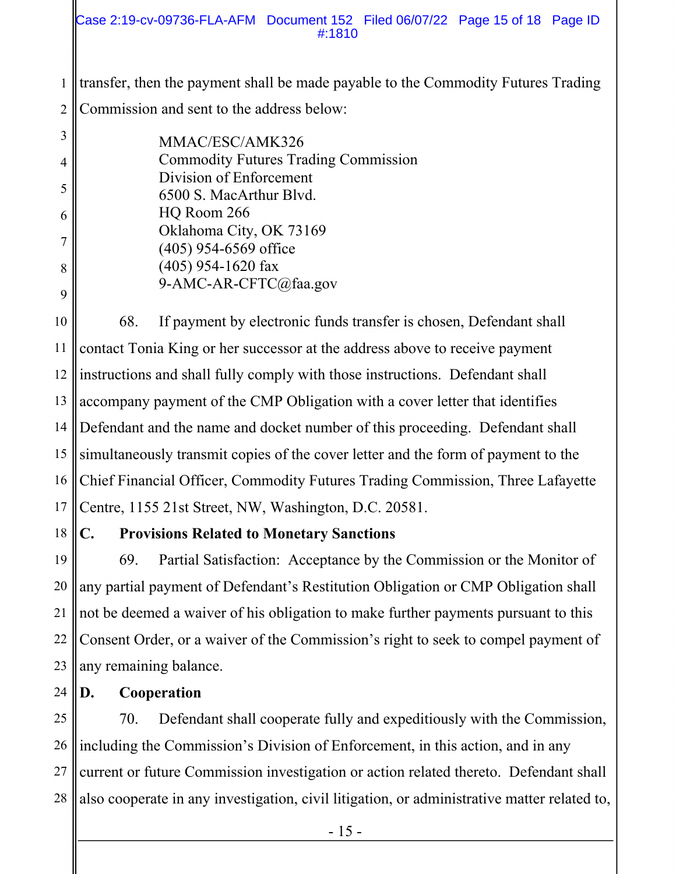### Case 2:19-cv-09736-FLA-AFM Document 152 Filed 06/07/22 Page 15 of 18 Page ID #:1810

1 2 transfer, then the payment shall be made payable to the Commodity Futures Trading Commission and sent to the address below:

|   | MMAC/ESC/AMK326                             |
|---|---------------------------------------------|
| 4 | <b>Commodity Futures Trading Commission</b> |
| 5 | Division of Enforcement                     |
|   | 6500 S. MacArthur Blvd.                     |
| 6 | HQ Room 266                                 |
|   | Oklahoma City, OK 73169                     |
|   | $(405)$ 954-6569 office                     |
| 8 | $(405)$ 954-1620 fax                        |
|   | 9-AMC-AR-CFTC@faa.gov                       |
| 9 |                                             |

10 11 12 13 14 15 16 17 68. If payment by electronic funds transfer is chosen, Defendant shall contact Tonia King or her successor at the address above to receive payment instructions and shall fully comply with those instructions. Defendant shall accompany payment of the CMP Obligation with a cover letter that identifies Defendant and the name and docket number of this proceeding. Defendant shall simultaneously transmit copies of the cover letter and the form of payment to the Chief Financial Officer, Commodity Futures Trading Commission, Three Lafayette Centre, 1155 21st Street, NW, Washington, D.C. 20581.

## 18

## **C. Provisions Related to Monetary Sanctions**

19 20 21 22 23 69. Partial Satisfaction: Acceptance by the Commission or the Monitor of any partial payment of Defendant's Restitution Obligation or CMP Obligation shall not be deemed a waiver of his obligation to make further payments pursuant to this Consent Order, or a waiver of the Commission's right to seek to compel payment of any remaining balance.

#### 24 **D. Cooperation**

25 26 27 28 70. Defendant shall cooperate fully and expeditiously with the Commission, including the Commission's Division of Enforcement, in this action, and in any current or future Commission investigation or action related thereto. Defendant shall also cooperate in any investigation, civil litigation, or administrative matter related to,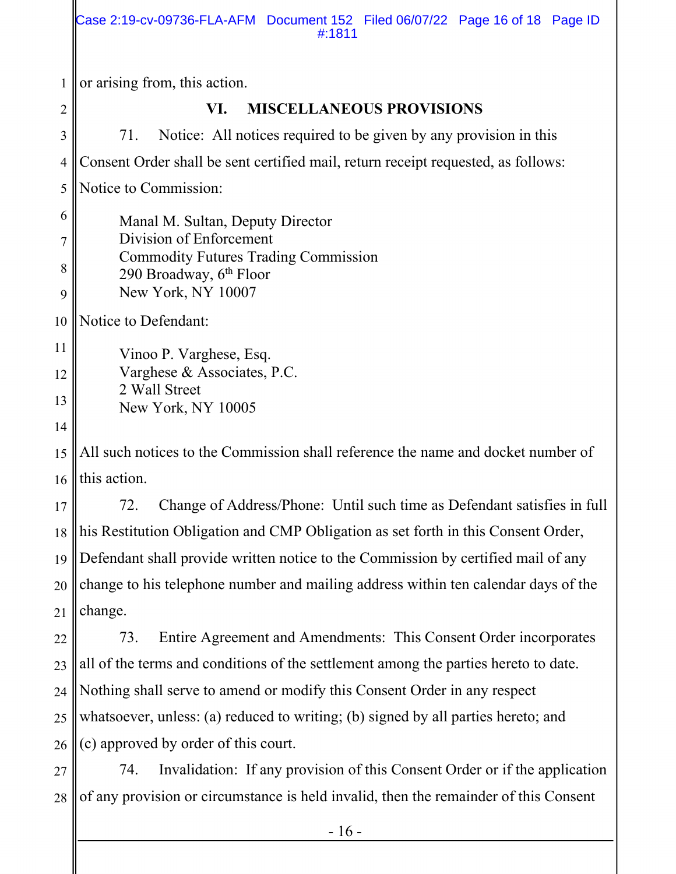1 2 3 4 5 6 7 8 9 10 11 or arising from, this action. **VI. MISCELLANEOUS PROVISIONS**  71. Notice: All notices required to be given by any provision in this Consent Order shall be sent certified mail, return receipt requested, as follows: Notice to Commission: Manal M. Sultan, Deputy Director Division of Enforcement Commodity Futures Trading Commission 290 Broadway,  $6<sup>th</sup>$  Floor New York, NY 10007 Notice to Defendant: Vinoo P. Varghese, Esq. Varghese & Associates, P.C. Case 2:19-cv-09736-FLA-AFM Document 152 Filed 06/07/22 Page 16 of 18 Page ID #:1811

13 14

12

2 Wall Street

New York, NY 10005

15 16 All such notices to the Commission shall reference the name and docket number of this action.

17 18 19 20 21 72. Change of Address/Phone: Until such time as Defendant satisfies in full his Restitution Obligation and CMP Obligation as set forth in this Consent Order, Defendant shall provide written notice to the Commission by certified mail of any change to his telephone number and mailing address within ten calendar days of the change.

22 23 24 25 26 73. Entire Agreement and Amendments: This Consent Order incorporates all of the terms and conditions of the settlement among the parties hereto to date. Nothing shall serve to amend or modify this Consent Order in any respect whatsoever, unless: (a) reduced to writing; (b) signed by all parties hereto; and (c) approved by order of this court.

27 28 74. Invalidation: If any provision of this Consent Order or if the application of any provision or circumstance is held invalid, then the remainder of this Consent

- 16 -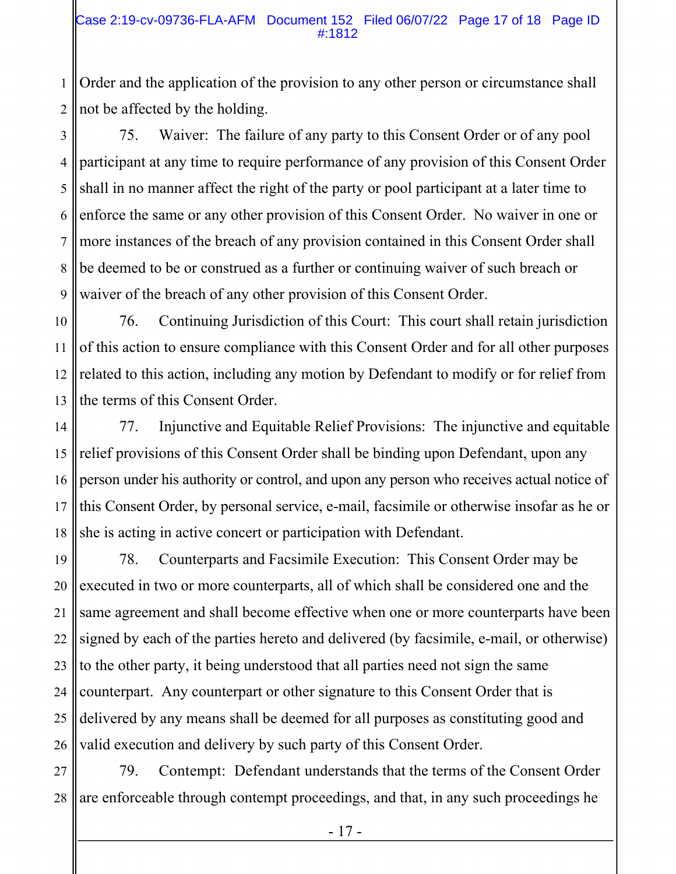### Case 2:19-cv-09736-FLA-AFM Document 152 Filed 06/07/22 Page 17 of 18 Page ID #:1812

1 2 Order and the application of the provision to any other person or circumstance shall not be affected by the holding.

3 4 5 6 7 8 9 75. Waiver: The failure of any party to this Consent Order or of any pool participant at any time to require performance of any provision of this Consent Order shall in no manner affect the right of the party or pool participant at a later time to enforce the same or any other provision of this Consent Order. No waiver in one or more instances of the breach of any provision contained in this Consent Order shall be deemed to be or construed as a further or continuing waiver of such breach or waiver of the breach of any other provision of this Consent Order.

10 11 12 13 76. Continuing Jurisdiction of this Court: This court shall retain jurisdiction of this action to ensure compliance with this Consent Order and for all other purposes related to this action, including any motion by Defendant to modify or for relief from the terms of this Consent Order.

14 15 16 17 18 77. Injunctive and Equitable Relief Provisions: The injunctive and equitable relief provisions of this Consent Order shall be binding upon Defendant, upon any person under his authority or control, and upon any person who receives actual notice of this Consent Order, by personal service, e-mail, facsimile or otherwise insofar as he or she is acting in active concert or participation with Defendant.

19 20 21 22 23 24 25 26 78. Counterparts and Facsimile Execution: This Consent Order may be executed in two or more counterparts, all of which shall be considered one and the same agreement and shall become effective when one or more counterparts have been signed by each of the parties hereto and delivered (by facsimile, e-mail, or otherwise) to the other party, it being understood that all parties need not sign the same counterpart. Any counterpart or other signature to this Consent Order that is delivered by any means shall be deemed for all purposes as constituting good and valid execution and delivery by such party of this Consent Order.

27 28 79. Contempt: Defendant understands that the terms of the Consent Order are enforceable through contempt proceedings, and that, in any such proceedings he